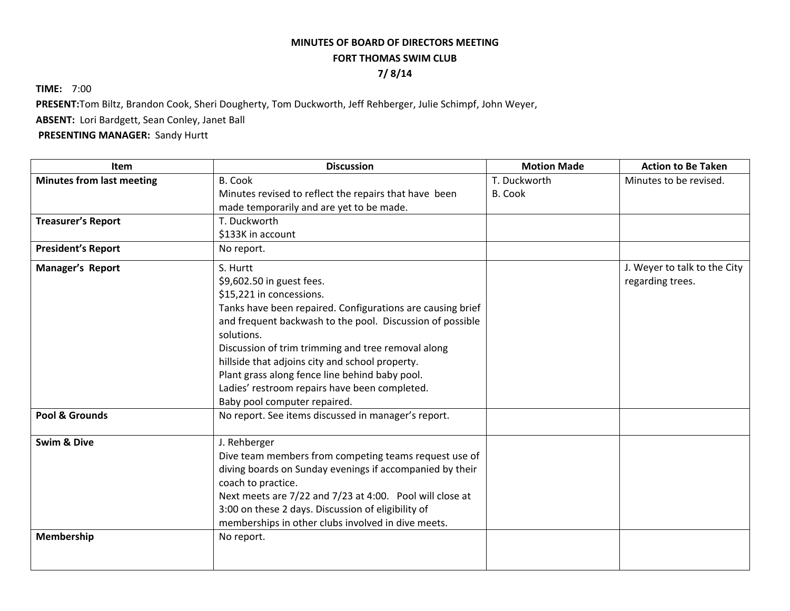## **MINUTES OF BOARD OF DIRECTORS MEETING FORT THOMAS SWIM CLUB**

**7/ 8/14**

**TIME:** 7:00

**PRESENT:**Tom Biltz, Brandon Cook, Sheri Dougherty, Tom Duckworth, Jeff Rehberger, Julie Schimpf, John Weyer,

**ABSENT:** Lori Bardgett, Sean Conley, Janet Ball

**PRESENTING MANAGER:** Sandy Hurtt

| Item                             | <b>Discussion</b>                                          | <b>Motion Made</b> | <b>Action to Be Taken</b>    |
|----------------------------------|------------------------------------------------------------|--------------------|------------------------------|
| <b>Minutes from last meeting</b> | <b>B. Cook</b>                                             | T. Duckworth       | Minutes to be revised.       |
|                                  | Minutes revised to reflect the repairs that have been      | B. Cook            |                              |
|                                  | made temporarily and are yet to be made.                   |                    |                              |
| <b>Treasurer's Report</b>        | T. Duckworth                                               |                    |                              |
|                                  | \$133K in account                                          |                    |                              |
| <b>President's Report</b>        | No report.                                                 |                    |                              |
| Manager's Report                 | S. Hurtt                                                   |                    | J. Weyer to talk to the City |
|                                  | \$9,602.50 in guest fees.                                  |                    | regarding trees.             |
|                                  | \$15,221 in concessions.                                   |                    |                              |
|                                  | Tanks have been repaired. Configurations are causing brief |                    |                              |
|                                  | and frequent backwash to the pool. Discussion of possible  |                    |                              |
|                                  | solutions.                                                 |                    |                              |
|                                  | Discussion of trim trimming and tree removal along         |                    |                              |
|                                  | hillside that adjoins city and school property.            |                    |                              |
|                                  | Plant grass along fence line behind baby pool.             |                    |                              |
|                                  | Ladies' restroom repairs have been completed.              |                    |                              |
|                                  | Baby pool computer repaired.                               |                    |                              |
| Pool & Grounds                   | No report. See items discussed in manager's report.        |                    |                              |
| <b>Swim &amp; Dive</b>           | J. Rehberger                                               |                    |                              |
|                                  | Dive team members from competing teams request use of      |                    |                              |
|                                  | diving boards on Sunday evenings if accompanied by their   |                    |                              |
|                                  | coach to practice.                                         |                    |                              |
|                                  | Next meets are 7/22 and 7/23 at 4:00. Pool will close at   |                    |                              |
|                                  | 3:00 on these 2 days. Discussion of eligibility of         |                    |                              |
|                                  | memberships in other clubs involved in dive meets.         |                    |                              |
| Membership                       | No report.                                                 |                    |                              |
|                                  |                                                            |                    |                              |
|                                  |                                                            |                    |                              |